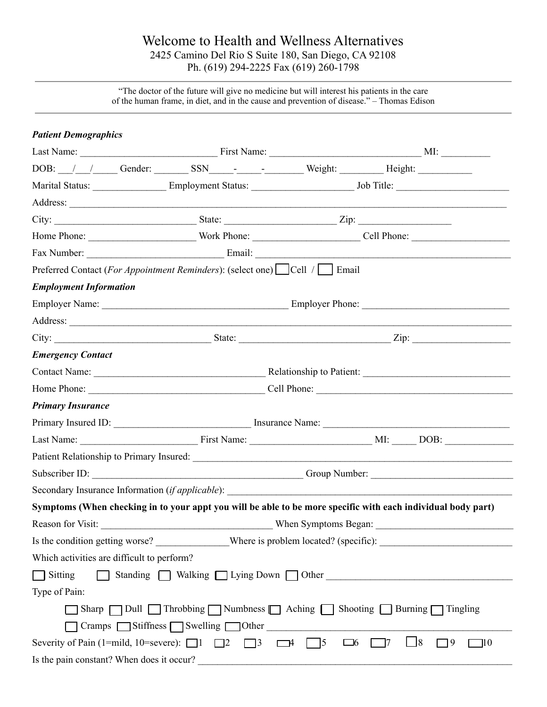# Welcome to Health and Wellness Alternatives 2425 Camino Del Rio S Suite 180, San Diego, CA 92108 Ph. (619) 294-2225 Fax (619) 260-1798

"The doctor of the future will give no medicine but will interest his patients in the care of the human frame, in diet, and in the cause and prevention of disease." – Thomas Edison

| <b>Patient Demographics</b>                                                                 |                                                                |  |                                                                                                                |  |
|---------------------------------------------------------------------------------------------|----------------------------------------------------------------|--|----------------------------------------------------------------------------------------------------------------|--|
|                                                                                             |                                                                |  |                                                                                                                |  |
| DOB: /// Gender: SSN _______ Weight: Weight: Height:                                        |                                                                |  |                                                                                                                |  |
|                                                                                             |                                                                |  | Marital Status: Employment Status: Job Title:                                                                  |  |
|                                                                                             |                                                                |  |                                                                                                                |  |
|                                                                                             |                                                                |  |                                                                                                                |  |
|                                                                                             |                                                                |  |                                                                                                                |  |
|                                                                                             |                                                                |  |                                                                                                                |  |
| Preferred Contact (For Appointment Reminders): (select one) Cell / Cell / Fmail             |                                                                |  |                                                                                                                |  |
| <b>Employment Information</b>                                                               |                                                                |  |                                                                                                                |  |
|                                                                                             |                                                                |  |                                                                                                                |  |
|                                                                                             |                                                                |  |                                                                                                                |  |
|                                                                                             |                                                                |  | City: $\frac{1}{\sqrt{2}}$ State: $\frac{1}{\sqrt{2}}$ State: $\frac{1}{\sqrt{2}}$ Zip:                        |  |
| <b>Emergency Contact</b>                                                                    |                                                                |  |                                                                                                                |  |
|                                                                                             |                                                                |  |                                                                                                                |  |
|                                                                                             |                                                                |  |                                                                                                                |  |
| <b>Primary Insurance</b>                                                                    |                                                                |  |                                                                                                                |  |
|                                                                                             |                                                                |  |                                                                                                                |  |
|                                                                                             |                                                                |  |                                                                                                                |  |
|                                                                                             |                                                                |  |                                                                                                                |  |
|                                                                                             |                                                                |  |                                                                                                                |  |
| Secondary Insurance Information <i>(if applicable)</i> :                                    |                                                                |  |                                                                                                                |  |
|                                                                                             |                                                                |  | Symptoms (When checking in to your appt you will be able to be more specific with each individual body part)   |  |
| Reason for Visit:                                                                           | When Symptoms Began:                                           |  |                                                                                                                |  |
|                                                                                             |                                                                |  | Is the condition getting worse? ______________Where is problem located? (specific): __________________________ |  |
| Which activities are difficult to perform?                                                  |                                                                |  |                                                                                                                |  |
| $\Box$ Sitting                                                                              |                                                                |  | Standing Nalking Lying Down Other                                                                              |  |
| Type of Pain:                                                                               |                                                                |  |                                                                                                                |  |
|                                                                                             | Sharp Dull Throbbing Numbness Aching Shooting Burning Tingling |  |                                                                                                                |  |
|                                                                                             | $C$ ramps $\Box$ Stiffness $\Box$ Swelling $\Box$ Other        |  |                                                                                                                |  |
| Severity of Pain (1=mild, 10=severe): $\Box$ 1 $\Box$ 2 $\Box$ 3 $\Box$ 4 $\Box$ 5 $\Box$ 6 |                                                                |  | $\Box$ 8<br>$\Box$ 9<br>$\Box$ 10<br>$\sqrt{7}$                                                                |  |
| Is the pain constant? When does it occur?                                                   |                                                                |  |                                                                                                                |  |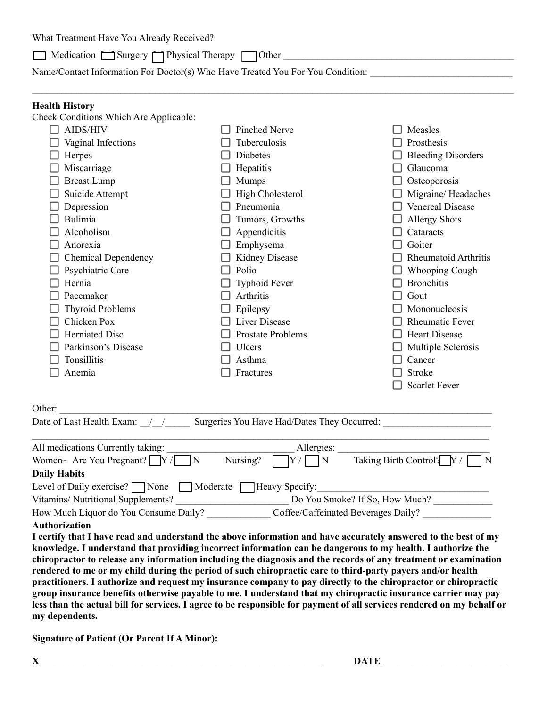What Treatment Have You Already Received?

 $\Box$  Medication  $\Box$  Surgery  $\Box$  Physical Therapy  $\Box$  Other  $\Box$ 

Name/Contact Information For Doctor(s) Who Have Treated You For You Condition:

#### **Health History**

| Check Conditions Which Are Applicable: |                          |                             |
|----------------------------------------|--------------------------|-----------------------------|
| <b>AIDS/HIV</b>                        | <b>Pinched Nerve</b>     | Measles                     |
| Vaginal Infections                     | Tuberculosis             | Prosthesis                  |
| Herpes                                 | <b>Diabetes</b>          | <b>Bleeding Disorders</b>   |
| Miscarriage                            | Hepatitis                | Glaucoma                    |
| <b>Breast Lump</b>                     | <b>Mumps</b>             | Osteoporosis                |
| Suicide Attempt                        | High Cholesterol         | Migraine/Headaches          |
| Depression                             | Pneumonia                | <b>Venereal Disease</b>     |
| Bulimia                                | Tumors, Growths          | <b>Allergy Shots</b>        |
| Alcoholism                             | Appendicitis             | Cataracts                   |
| Anorexia                               | Emphysema                | Goiter                      |
| <b>Chemical Dependency</b>             | <b>Kidney Disease</b>    | <b>Rheumatoid Arthritis</b> |
| Psychiatric Care                       | Polio                    | <b>Whooping Cough</b>       |
| Hernia                                 | <b>Typhoid Fever</b>     | <b>Bronchitis</b>           |
| Pacemaker                              | Arthritis                | Gout                        |
| <b>Thyroid Problems</b>                | Epilepsy                 | Mononucleosis               |
| Chicken Pox                            | <b>Liver Disease</b>     | <b>Rheumatic Fever</b>      |
| <b>Herniated Disc</b>                  | <b>Prostate Problems</b> | <b>Heart Disease</b>        |
| Parkinson's Disease                    | Ulcers                   | Multiple Sclerosis          |
| Tonsillitis                            | Asthma                   | Cancer                      |
| Anemia                                 | Fractures                | <b>Stroke</b>               |
|                                        |                          | <b>Scarlet Fever</b>        |
|                                        |                          |                             |

#### Other:

Date of Last Health Exam:  $\frac{1}{2}$  / Surgeries You Have Had/Dates They Occurred:

| All medications Currently taking:                                                                              |          | Allergies:                     |                                     |  |
|----------------------------------------------------------------------------------------------------------------|----------|--------------------------------|-------------------------------------|--|
| Women~ Are You Pregnant? $\bigcap Y / \bigcap N$                                                               | Nursing? | $ Y/ - N $                     | Taking Birth Control? $Y / \Box N$  |  |
| <b>Daily Habits</b>                                                                                            |          |                                |                                     |  |
| Level of Daily exercise? $\Box$ None $\Box$ Moderate $\Box$ Heavy Specify:                                     |          |                                |                                     |  |
| Vitamins/Nutritional Supplements?                                                                              |          | Do You Smoke? If So, How Much? |                                     |  |
| How Much Liquor do You Consume Daily?                                                                          |          |                                | Coffee/Caffeinated Beverages Daily? |  |
| <b>Authorization</b>                                                                                           |          |                                |                                     |  |
| I certify that I have read and understand the above information and have accurately answered to the best of my |          |                                |                                     |  |
| knowledge I understand that providing incorrect information can be dangerous to my health I authorize the      |          |                                |                                     |  |

**knowledge. I understand that providing incorrect information can be dangerous to my health. I authorize the chiropractor to release any information including the diagnosis and the records of any treatment or examination rendered to me or my child during the period of such chiropractic care to third-party payers and/or health practitioners. I authorize and request my insurance company to pay directly to the chiropractor or chiropractic group insurance benefits otherwise payable to me. I understand that my chiropractic insurance carrier may pay less than the actual bill for services. I agree to be responsible for payment of all services rendered on my behalf or my dependents.**

**Signature of Patient (Or Parent If A Minor):**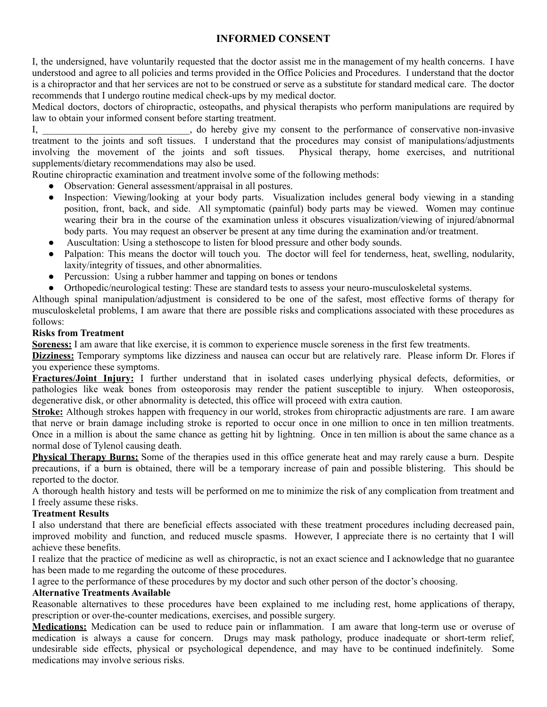## **INFORMED CONSENT**

I, the undersigned, have voluntarily requested that the doctor assist me in the management of my health concerns. I have understood and agree to all policies and terms provided in the Office Policies and Procedures. I understand that the doctor is a chiropractor and that her services are not to be construed or serve as a substitute for standard medical care. The doctor recommends that I undergo routine medical check-ups by my medical doctor.

Medical doctors, doctors of chiropractic, osteopaths, and physical therapists who perform manipulations are required by law to obtain your informed consent before starting treatment.

I, do hereby give my consent to the performance of conservative non-invasive treatment to the joints and soft tissues. I understand that the procedures may consist of manipulations/adjustments involving the movement of the joints and soft tissues. Physical therapy, home exercises, and nutritional supplements/dietary recommendations may also be used.

Routine chiropractic examination and treatment involve some of the following methods:

- Observation: General assessment/appraisal in all postures.
- Inspection: Viewing/looking at your body parts. Visualization includes general body viewing in a standing position, front, back, and side. All symptomatic (painful) body parts may be viewed. Women may continue wearing their bra in the course of the examination unless it obscures visualization/viewing of injured/abnormal body parts. You may request an observer be present at any time during the examination and/or treatment.
- Auscultation: Using a stethoscope to listen for blood pressure and other body sounds.
- Palpation: This means the doctor will touch you. The doctor will feel for tenderness, heat, swelling, nodularity, laxity/integrity of tissues, and other abnormalities.
- Percussion: Using a rubber hammer and tapping on bones or tendons
- Orthopedic/neurological testing: These are standard tests to assess your neuro-musculoskeletal systems.

Although spinal manipulation/adjustment is considered to be one of the safest, most effective forms of therapy for musculoskeletal problems, I am aware that there are possible risks and complications associated with these procedures as follows:

#### **Risks from Treatment**

**Soreness:** I am aware that like exercise, it is common to experience muscle soreness in the first few treatments.

**Dizziness:** Temporary symptoms like dizziness and nausea can occur but are relatively rare. Please inform Dr. Flores if you experience these symptoms.

**Fractures/Joint Injury:** I further understand that in isolated cases underlying physical defects, deformities, or pathologies like weak bones from osteoporosis may render the patient susceptible to injury. When osteoporosis, degenerative disk, or other abnormality is detected, this office will proceed with extra caution.

**Stroke:** Although strokes happen with frequency in our world, strokes from chiropractic adjustments are rare. I am aware that nerve or brain damage including stroke is reported to occur once in one million to once in ten million treatments. Once in a million is about the same chance as getting hit by lightning. Once in ten million is about the same chance as a normal dose of Tylenol causing death.

**Physical Therapy Burns:** Some of the therapies used in this office generate heat and may rarely cause a burn. Despite precautions, if a burn is obtained, there will be a temporary increase of pain and possible blistering. This should be reported to the doctor.

A thorough health history and tests will be performed on me to minimize the risk of any complication from treatment and I freely assume these risks.

#### **Treatment Results**

I also understand that there are beneficial effects associated with these treatment procedures including decreased pain, improved mobility and function, and reduced muscle spasms. However, I appreciate there is no certainty that I will achieve these benefits.

I realize that the practice of medicine as well as chiropractic, is not an exact science and I acknowledge that no guarantee has been made to me regarding the outcome of these procedures.

I agree to the performance of these procedures by my doctor and such other person of the doctor's choosing.

#### **Alternative Treatments Available**

Reasonable alternatives to these procedures have been explained to me including rest, home applications of therapy, prescription or over-the-counter medications, exercises, and possible surgery.

**Medications:** Medication can be used to reduce pain or inflammation. I am aware that long-term use or overuse of medication is always a cause for concern. Drugs may mask pathology, produce inadequate or short-term relief, undesirable side effects, physical or psychological dependence, and may have to be continued indefinitely. Some medications may involve serious risks.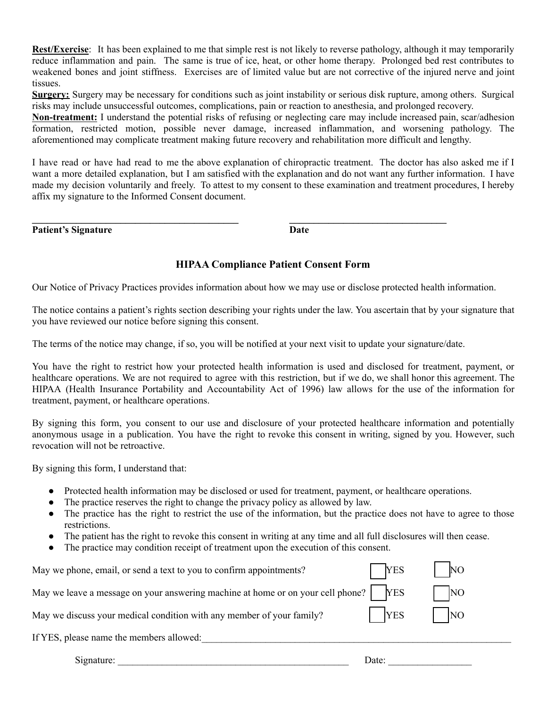**Rest/Exercise**: It has been explained to me that simple rest is not likely to reverse pathology, although it may temporarily reduce inflammation and pain. The same is true of ice, heat, or other home therapy. Prolonged bed rest contributes to weakened bones and joint stiffness. Exercises are of limited value but are not corrective of the injured nerve and joint tissues.

**Surgery:** Surgery may be necessary for conditions such as joint instability or serious disk rupture, among others. Surgical risks may include unsuccessful outcomes, complications, pain or reaction to anesthesia, and prolonged recovery.

**Non-treatment:** I understand the potential risks of refusing or neglecting care may include increased pain, scar/adhesion formation, restricted motion, possible never damage, increased inflammation, and worsening pathology. The aforementioned may complicate treatment making future recovery and rehabilitation more difficult and lengthy.

I have read or have had read to me the above explanation of chiropractic treatment. The doctor has also asked me if I want a more detailed explanation, but I am satisfied with the explanation and do not want any further information. I have made my decision voluntarily and freely. To attest to my consent to these examination and treatment procedures, I hereby affix my signature to the Informed Consent document.

**Patient's Signature Date** 

### **HIPAA Compliance Patient Consent Form**

Our Notice of Privacy Practices provides information about how we may use or disclose protected health information.

The notice contains a patient's rights section describing your rights under the law. You ascertain that by your signature that you have reviewed our notice before signing this consent.

The terms of the notice may change, if so, you will be notified at your next visit to update your signature/date.

You have the right to restrict how your protected health information is used and disclosed for treatment, payment, or healthcare operations. We are not required to agree with this restriction, but if we do, we shall honor this agreement. The HIPAA (Health Insurance Portability and Accountability Act of 1996) law allows for the use of the information for treatment, payment, or healthcare operations.

By signing this form, you consent to our use and disclosure of your protected healthcare information and potentially anonymous usage in a publication. You have the right to revoke this consent in writing, signed by you. However, such revocation will not be retroactive.

By signing this form, I understand that:

- Protected health information may be disclosed or used for treatment, payment, or healthcare operations.
- The practice reserves the right to change the privacy policy as allowed by law.
- The practice has the right to restrict the use of the information, but the practice does not have to agree to those restrictions.
- The patient has the right to revoke this consent in writing at any time and all full disclosures will then cease.
- The practice may condition receipt of treatment upon the execution of this consent.

| May we phone, email, or send a text to you to confirm appointments?             | <b>YES</b> | N <sub>O</sub> |
|---------------------------------------------------------------------------------|------------|----------------|
| May we leave a message on your answering machine at home or on your cell phone? | <b>YES</b> | N <sub>O</sub> |
| May we discuss your medical condition with any member of your family?           | <b>YES</b> | NO             |
| If YES, please name the members allowed:                                        |            |                |
| Signature:                                                                      | Date:      |                |